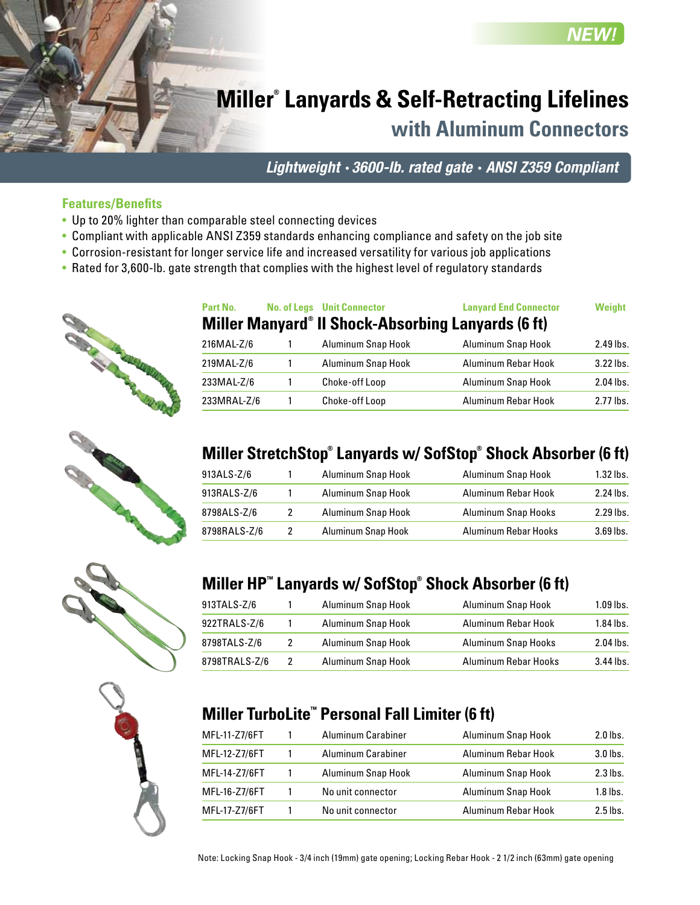# **Miller® Lanyards & Self-Retracting Lifelines**

**with Aluminum Connectors**

**NFW** 

*Lightweight* • *3600-lb. rated gate* • *ANSI Z359 Compliant*

#### **Features/Benefits**

- Up to 20% lighter than comparable steel connecting devices
- Compliant with applicable ANSI Z359 standards enhancing compliance and safety on the job site
- Corrosion-resistant for longer service life and increased versatility for various job applications
- Rated for 3,600-lb. gate strength that complies with the highest level of regulatory standards











## **Miller StretchStop® Lanyards w/ SofStop® Shock Absorber (6 ft)**

**Part No. No. of Legs Unit Connector Lanyard End Connector Weight**

216MAL-Z/6 1 Aluminum Snap Hook Aluminum Snap Hook 2.49 lbs. 219MAL-Z/6 1 Aluminum Snap Hook Aluminum Rebar Hook 3.22 lbs. 233MAL-Z/6 1 Choke-off Loop Aluminum Snap Hook 2.04 lbs. 233MRAL-Z/6 1 Choke-off Loop Aluminum Rebar Hook 2.77 lbs.

**Miller Manyard® II Shock-Absorbing Lanyards (6 ft)**

| 913ALS-Z/6   |   | Aluminum Snap Hook | Aluminum Snap Hook         | $1.32$ lbs. |
|--------------|---|--------------------|----------------------------|-------------|
| 913RALS-Z/6  |   | Aluminum Snap Hook | Aluminum Rebar Hook        | 2.24 lbs.   |
| 8798ALS-Z/6  | 2 | Aluminum Snap Hook | <b>Aluminum Snap Hooks</b> | 2.29 lbs.   |
| 8798RALS-Z/6 | 2 | Aluminum Snap Hook | Aluminum Rebar Hooks       | $3.69$ lbs. |

### **Miller HP™ Lanyards w/ SofStop® Shock Absorber (6 ft)**

| 913TALS-Z/6   |   | Aluminum Snap Hook | Aluminum Snap Hook         | $1.09$ lbs. |
|---------------|---|--------------------|----------------------------|-------------|
| 922TRALS-Z/6  |   | Aluminum Snap Hook | Aluminum Rebar Hook        | $1.84$ lbs. |
| 8798TALS-Z/6  | 2 | Aluminum Snap Hook | <b>Aluminum Snap Hooks</b> | $2.04$ lbs. |
| 8798TRALS-Z/6 | 2 | Aluminum Snap Hook | Aluminum Rebar Hooks       | $3.44$ lbs. |

#### **Miller TurboLite™ Personal Fall Limiter (6 ft)**

| MFL-11-Z7/6FT | Aluminum Carabiner | Aluminum Snap Hook  | $2.0$ lbs. |
|---------------|--------------------|---------------------|------------|
| MFL-12-Z7/6FT | Aluminum Carabiner | Aluminum Rebar Hook | $3.0$ lbs. |
| MFL-14-Z7/6FT | Aluminum Snap Hook | Aluminum Snap Hook  | $2.3$ lbs. |
| MFL-16-Z7/6FT | No unit connector  | Aluminum Snap Hook  | $1.8$ lbs. |
| MFL-17-Z7/6FT | No unit connector  | Aluminum Rebar Hook | $2.5$ lbs. |

Note: Locking Snap Hook - 3/4 inch (19mm) gate opening; Locking Rebar Hook - 2 1/2 inch (63mm) gate opening